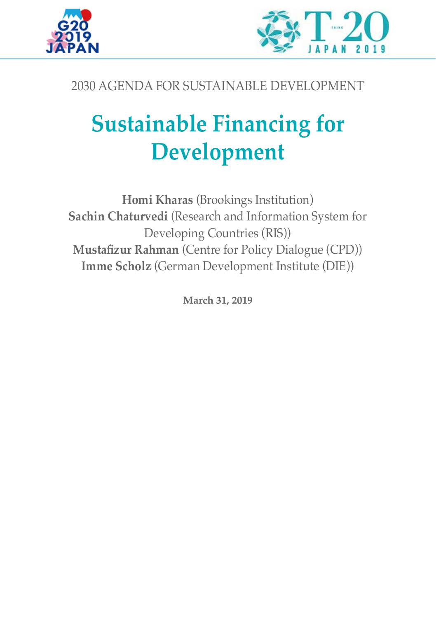



## 2030 AGENDA FOR SUSTAINABLE DEVELOPMENT

# **Sustainable Financing for Development**

**Homi Kharas** (Brookings Institution) **Sachin Chaturvedi** (Research and Information System for Developing Countries (RIS)) **Mustafizur Rahman** (Centre for Policy Dialogue (CPD)) **Imme Scholz** (German Development Institute (DIE))

**March 31, 2019**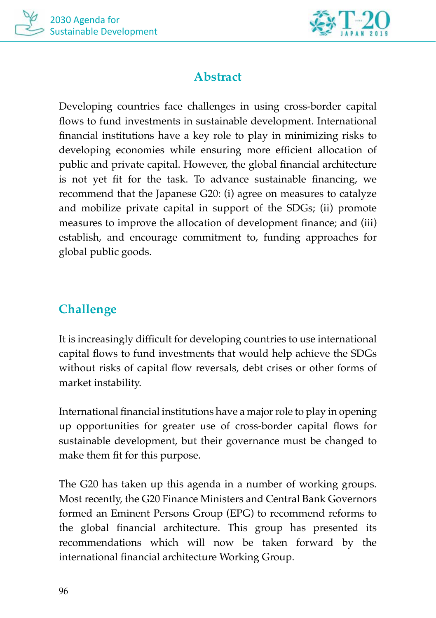



## **Abstract**

Developing countries face challenges in using cross-border capital flows to fund investments in sustainable development. International financial institutions have a key role to play in minimizing risks to developing economies while ensuring more efficient allocation of public and private capital. However, the global financial architecture is not yet fit for the task. To advance sustainable financing, we recommend that the Japanese G20: (i) agree on measures to catalyze and mobilize private capital in support of the SDGs; (ii) promote measures to improve the allocation of development finance; and (iii) establish, and encourage commitment to, funding approaches for global public goods.

## **Challenge**

It is increasingly difficult for developing countries to use international capital flows to fund investments that would help achieve the SDGs without risks of capital flow reversals, debt crises or other forms of market instability.

International financial institutions have a major role to play in opening up opportunities for greater use of cross-border capital flows for sustainable development, but their governance must be changed to make them fit for this purpose.

The G20 has taken up this agenda in a number of working groups. Most recently, the G20 Finance Ministers and Central Bank Governors formed an Eminent Persons Group (EPG) to recommend reforms to the global financial architecture. This group has presented its recommendations which will now be taken forward by the international financial architecture Working Group.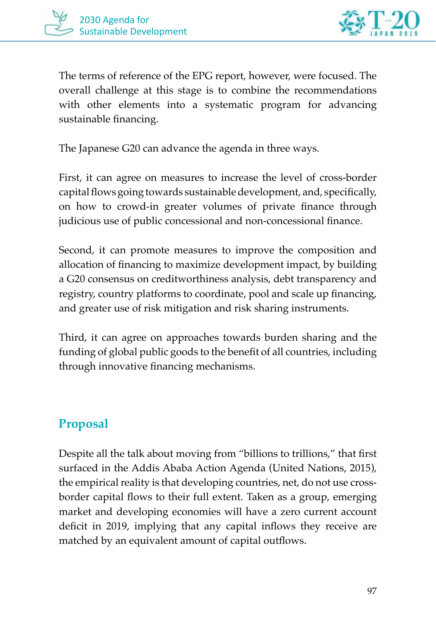

The terms of reference of the EPG report, however, were focused. The overall challenge at this stage is to combine the recommendations with other elements into a systematic program for advancing sustainable financing.

The Japanese G20 can advance the agenda in three ways.

First, it can agree on measures to increase the level of cross-border capital flows going towards sustainable development, and, specifically, on how to crowd-in greater volumes of private finance through judicious use of public concessional and non-concessional finance.

Second, it can promote measures to improve the composition and allocation of financing to maximize development impact, by building a G20 consensus on creditworthiness analysis, debt transparency and registry, country platforms to coordinate, pool and scale up financing, and greater use of risk mitigation and risk sharing instruments.

Third, it can agree on approaches towards burden sharing and the funding of global public goods to the benefit of all countries, including through innovative financing mechanisms.

### **Proposal**

Despite all the talk about moving from "billions to trillions," that first surfaced in the Addis Ababa Action Agenda (United Nations, 2015), the empirical reality is that developing countries, net, do not use crossborder capital flows to their full extent. Taken as a group, emerging market and developing economies will have a zero current account deficit in 2019, implying that any capital inflows they receive are matched by an equivalent amount of capital outflows.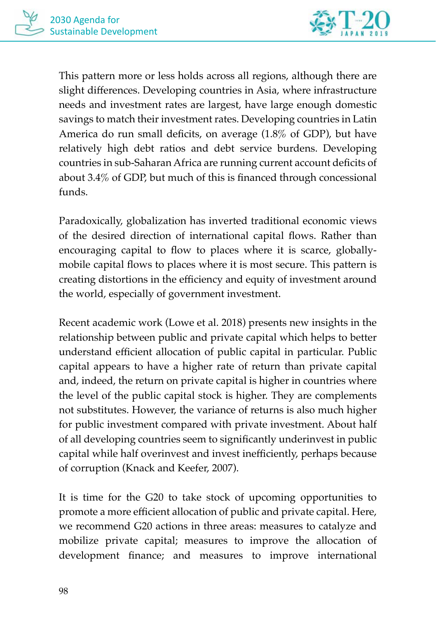

This pattern more or less holds across all regions, although there are slight differences. Developing countries in Asia, where infrastructure needs and investment rates are largest, have large enough domestic savings to match their investment rates. Developing countries in Latin America do run small deficits, on average (1.8% of GDP), but have relatively high debt ratios and debt service burdens. Developing countries in sub-Saharan Africa are running current account deficits of about 3.4% of GDP, but much of this is financed through concessional funds.

Paradoxically, globalization has inverted traditional economic views of the desired direction of international capital flows. Rather than encouraging capital to flow to places where it is scarce, globallymobile capital flows to places where it is most secure. This pattern is creating distortions in the efficiency and equity of investment around the world, especially of government investment.

Recent academic work (Lowe et al. 2018) presents new insights in the relationship between public and private capital which helps to better understand efficient allocation of public capital in particular. Public capital appears to have a higher rate of return than private capital and, indeed, the return on private capital is higher in countries where the level of the public capital stock is higher. They are complements not substitutes. However, the variance of returns is also much higher for public investment compared with private investment. About half of all developing countries seem to significantly underinvest in public capital while half overinvest and invest inefficiently, perhaps because of corruption (Knack and Keefer, 2007).

It is time for the G20 to take stock of upcoming opportunities to promote a more efficient allocation of public and private capital. Here, we recommend G20 actions in three areas: measures to catalyze and mobilize private capital; measures to improve the allocation of development finance; and measures to improve international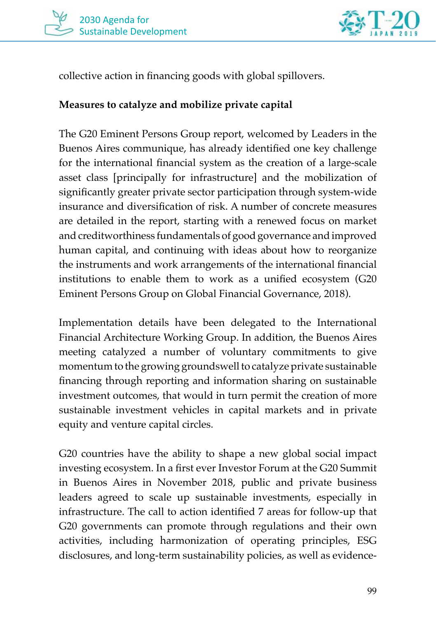



collective action in financing goods with global spillovers.

#### **Measures to catalyze and mobilize private capital**

The G20 Eminent Persons Group report, welcomed by Leaders in the Buenos Aires communique, has already identified one key challenge for the international financial system as the creation of a large-scale asset class [principally for infrastructure] and the mobilization of significantly greater private sector participation through system-wide insurance and diversification of risk. A number of concrete measures are detailed in the report, starting with a renewed focus on market and creditworthiness fundamentals of good governance and improved human capital, and continuing with ideas about how to reorganize the instruments and work arrangements of the international financial institutions to enable them to work as a unified ecosystem (G20 Eminent Persons Group on Global Financial Governance, 2018).

Implementation details have been delegated to the International Financial Architecture Working Group. In addition, the Buenos Aires meeting catalyzed a number of voluntary commitments to give momentum to the growing groundswell to catalyze private sustainable financing through reporting and information sharing on sustainable investment outcomes, that would in turn permit the creation of more sustainable investment vehicles in capital markets and in private equity and venture capital circles.

G20 countries have the ability to shape a new global social impact investing ecosystem. In a first ever Investor Forum at the G20 Summit in Buenos Aires in November 2018, public and private business leaders agreed to scale up sustainable investments, especially in infrastructure. The call to action identified 7 areas for follow-up that G20 governments can promote through regulations and their own activities, including harmonization of operating principles, ESG disclosures, and long-term sustainability policies, as well as evidence-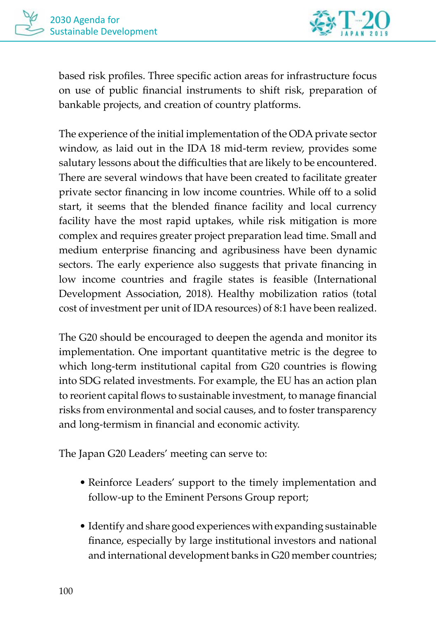

based risk profiles. Three specific action areas for infrastructure focus on use of public financial instruments to shift risk, preparation of bankable projects, and creation of country platforms.

The experience of the initial implementation of the ODA private sector window, as laid out in the IDA 18 mid-term review, provides some salutary lessons about the difficulties that are likely to be encountered. There are several windows that have been created to facilitate greater private sector financing in low income countries. While off to a solid start, it seems that the blended finance facility and local currency facility have the most rapid uptakes, while risk mitigation is more complex and requires greater project preparation lead time. Small and medium enterprise financing and agribusiness have been dynamic sectors. The early experience also suggests that private financing in low income countries and fragile states is feasible (International Development Association, 2018). Healthy mobilization ratios (total cost of investment per unit of IDA resources) of 8:1 have been realized.

The G20 should be encouraged to deepen the agenda and monitor its implementation. One important quantitative metric is the degree to which long-term institutional capital from G20 countries is flowing into SDG related investments. For example, the EU has an action plan to reorient capital flows to sustainable investment, to manage financial risks from environmental and social causes, and to foster transparency and long-termism in financial and economic activity.

The Japan G20 Leaders' meeting can serve to:

- Reinforce Leaders' support to the timely implementation and follow-up to the Eminent Persons Group report;
- Identify and share good experiences with expanding sustainable finance, especially by large institutional investors and national and international development banks in G20 member countries;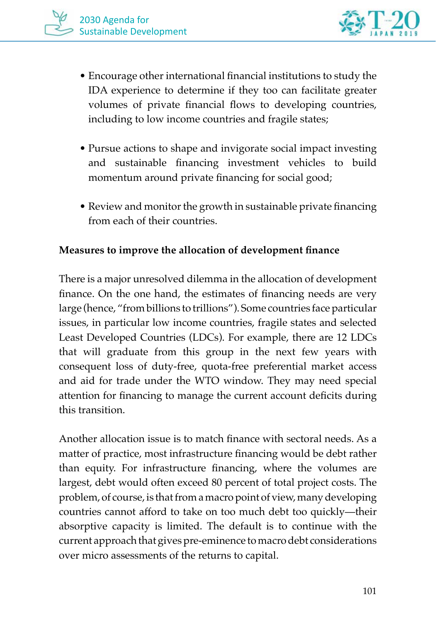

- Encourage other international financial institutions to study the IDA experience to determine if they too can facilitate greater volumes of private financial flows to developing countries, including to low income countries and fragile states;
- Pursue actions to shape and invigorate social impact investing and sustainable financing investment vehicles to build momentum around private financing for social good;
- Review and monitor the growth in sustainable private financing from each of their countries.

#### **Measures to improve the allocation of development finance**

There is a major unresolved dilemma in the allocation of development finance. On the one hand, the estimates of financing needs are very large (hence, "from billions to trillions"). Some countries face particular issues, in particular low income countries, fragile states and selected Least Developed Countries (LDCs). For example, there are 12 LDCs that will graduate from this group in the next few years with consequent loss of duty-free, quota-free preferential market access and aid for trade under the WTO window. They may need special attention for financing to manage the current account deficits during this transition.

Another allocation issue is to match finance with sectoral needs. As a matter of practice, most infrastructure financing would be debt rather than equity. For infrastructure financing, where the volumes are largest, debt would often exceed 80 percent of total project costs. The problem, of course, is that from a macro point of view, many developing countries cannot afford to take on too much debt too quickly—their absorptive capacity is limited. The default is to continue with the current approach that gives pre-eminence to macro debt considerations over micro assessments of the returns to capital.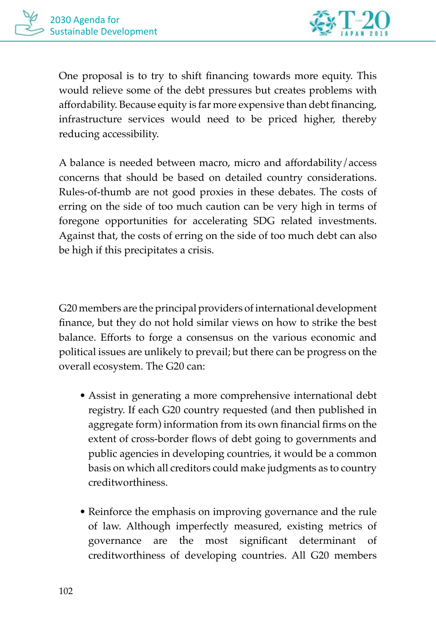

One proposal is to try to shift financing towards more equity. This would relieve some of the debt pressures but creates problems with affordability. Because equity is far more expensive than debt financing, infrastructure services would need to be priced higher, thereby reducing accessibility.

A balance is needed between macro, micro and affordability/access concerns that should be based on detailed country considerations. Rules-of-thumb are not good proxies in these debates. The costs of erring on the side of too much caution can be very high in terms of foregone opportunities for accelerating SDG related investments. Against that, the costs of erring on the side of too much debt can also be high if this precipitates a crisis.

G20 members are the principal providers of international development finance, but they do not hold similar views on how to strike the best balance. Efforts to forge a consensus on the various economic and political issues are unlikely to prevail; but there can be progress on the overall ecosystem. The G20 can:

- Assist in generating a more comprehensive international debt registry. If each G20 country requested (and then published in aggregate form) information from its own financial firms on the extent of cross-border flows of debt going to governments and public agencies in developing countries, it would be a common basis on which all creditors could make judgments as to country creditworthiness.
- Reinforce the emphasis on improving governance and the rule of law. Although imperfectly measured, existing metrics of governance are the most significant determinant of creditworthiness of developing countries. All G20 members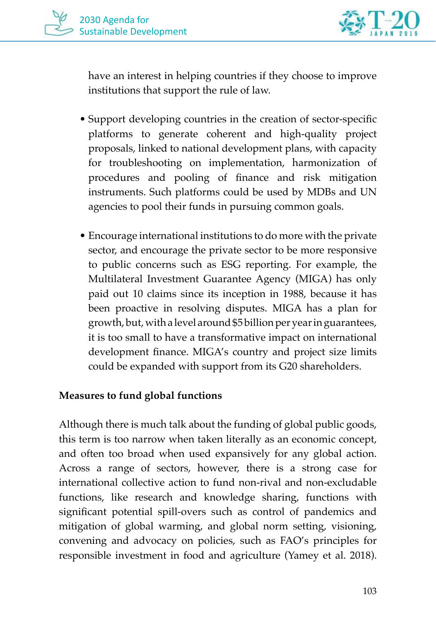



have an interest in helping countries if they choose to improve institutions that support the rule of law.

- Support developing countries in the creation of sector-specific platforms to generate coherent and high-quality project proposals, linked to national development plans, with capacity for troubleshooting on implementation, harmonization of procedures and pooling of finance and risk mitigation instruments. Such platforms could be used by MDBs and UN agencies to pool their funds in pursuing common goals.
- Encourage international institutions to do more with the private sector, and encourage the private sector to be more responsive to public concerns such as ESG reporting. For example, the Multilateral Investment Guarantee Agency (MIGA) has only paid out 10 claims since its inception in 1988, because it has been proactive in resolving disputes. MIGA has a plan for growth, but, with a level around \$5 billion per year in guarantees, it is too small to have a transformative impact on international development finance. MIGA's country and project size limits could be expanded with support from its G20 shareholders.

#### **Measures to fund global functions**

Although there is much talk about the funding of global public goods, this term is too narrow when taken literally as an economic concept, and often too broad when used expansively for any global action. Across a range of sectors, however, there is a strong case for international collective action to fund non-rival and non-excludable functions, like research and knowledge sharing, functions with significant potential spill-overs such as control of pandemics and mitigation of global warming, and global norm setting, visioning, convening and advocacy on policies, such as FAO's principles for responsible investment in food and agriculture (Yamey et al. 2018).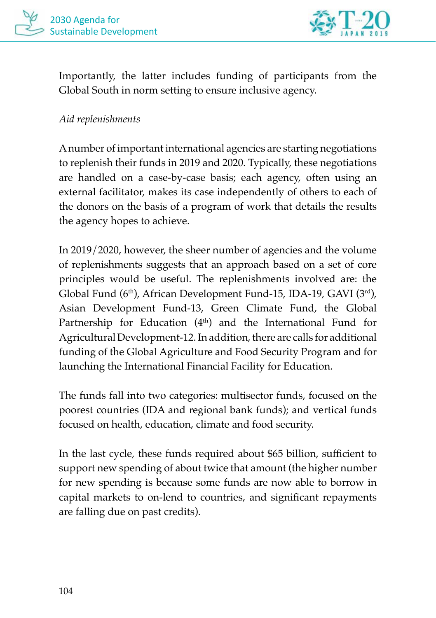



Importantly, the latter includes funding of participants from the Global South in norm setting to ensure inclusive agency.

#### *Aid replenishments*

A number of important international agencies are starting negotiations to replenish their funds in 2019 and 2020. Typically, these negotiations are handled on a case-by-case basis; each agency, often using an external facilitator, makes its case independently of others to each of the donors on the basis of a program of work that details the results the agency hopes to achieve.

In 2019/2020, however, the sheer number of agencies and the volume of replenishments suggests that an approach based on a set of core principles would be useful. The replenishments involved are: the Global Fund (6th), African Development Fund-15, IDA-19, GAVI (3rd), Asian Development Fund-13, Green Climate Fund, the Global Partnership for Education (4<sup>th</sup>) and the International Fund for Agricultural Development-12. In addition, there are calls for additional funding of the Global Agriculture and Food Security Program and for launching the International Financial Facility for Education.

The funds fall into two categories: multisector funds, focused on the poorest countries (IDA and regional bank funds); and vertical funds focused on health, education, climate and food security.

In the last cycle, these funds required about \$65 billion, sufficient to support new spending of about twice that amount (the higher number for new spending is because some funds are now able to borrow in capital markets to on-lend to countries, and significant repayments are falling due on past credits).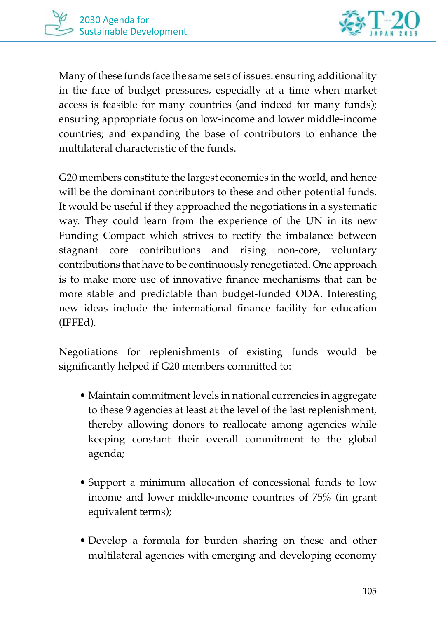

Many of these funds face the same sets of issues: ensuring additionality in the face of budget pressures, especially at a time when market access is feasible for many countries (and indeed for many funds); ensuring appropriate focus on low-income and lower middle-income countries; and expanding the base of contributors to enhance the multilateral characteristic of the funds.

G20 members constitute the largest economies in the world, and hence will be the dominant contributors to these and other potential funds. It would be useful if they approached the negotiations in a systematic way. They could learn from the experience of the UN in its new Funding Compact which strives to rectify the imbalance between stagnant core contributions and rising non-core, voluntary contributions that have to be continuously renegotiated. One approach is to make more use of innovative finance mechanisms that can be more stable and predictable than budget-funded ODA. Interesting new ideas include the international finance facility for education (IFFEd).

Negotiations for replenishments of existing funds would be significantly helped if G20 members committed to:

- Maintain commitment levels in national currencies in aggregate to these 9 agencies at least at the level of the last replenishment, thereby allowing donors to reallocate among agencies while keeping constant their overall commitment to the global agenda;
- Support a minimum allocation of concessional funds to low income and lower middle-income countries of 75% (in grant equivalent terms);
- Develop a formula for burden sharing on these and other multilateral agencies with emerging and developing economy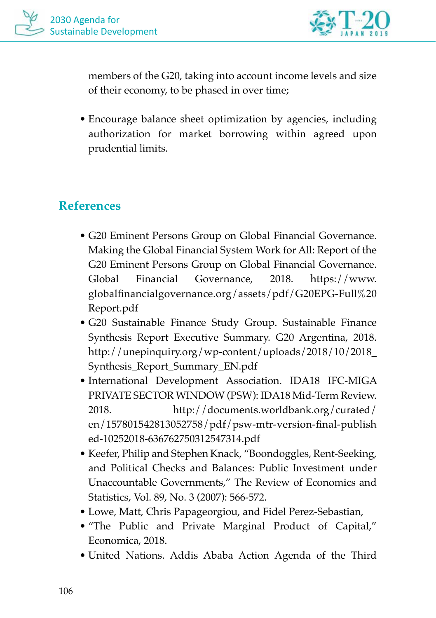

members of the G20, taking into account income levels and size of their economy, to be phased in over time;

• Encourage balance sheet optimization by agencies, including authorization for market borrowing within agreed upon prudential limits.

## **References**

- G20 Eminent Persons Group on Global Financial Governance. Making the Global Financial System Work for All: Report of the G20 Eminent Persons Group on Global Financial Governance. Global Financial Governance, 2018. https://www. globalfinancialgovernance.org/assets/pdf/G20EPG-Full%20 Report.pdf
- G20 Sustainable Finance Study Group. Sustainable Finance Synthesis Report Executive Summary. G20 Argentina, 2018. http://unepinquiry.org/wp-content/uploads/2018/10/2018\_ Synthesis\_Report\_Summary\_EN.pdf
- International Development Association. IDA18 IFC-MIGA PRIVATE SECTOR WINDOW (PSW): IDA18 Mid-Term Review. 2018. http://documents.worldbank.org/curated/ en/157801542813052758/pdf/psw-mtr-version-final-publish ed-10252018-636762750312547314.pdf
- Keefer, Philip and Stephen Knack, "Boondoggles, Rent-Seeking, and Political Checks and Balances: Public Investment under Unaccountable Governments," The Review of Economics and Statistics, Vol. 89, No. 3 (2007): 566-572.
- Lowe, Matt, Chris Papageorgiou, and Fidel Perez-Sebastian,
- "The Public and Private Marginal Product of Capital," Economica, 2018.
- United Nations. Addis Ababa Action Agenda of the Third